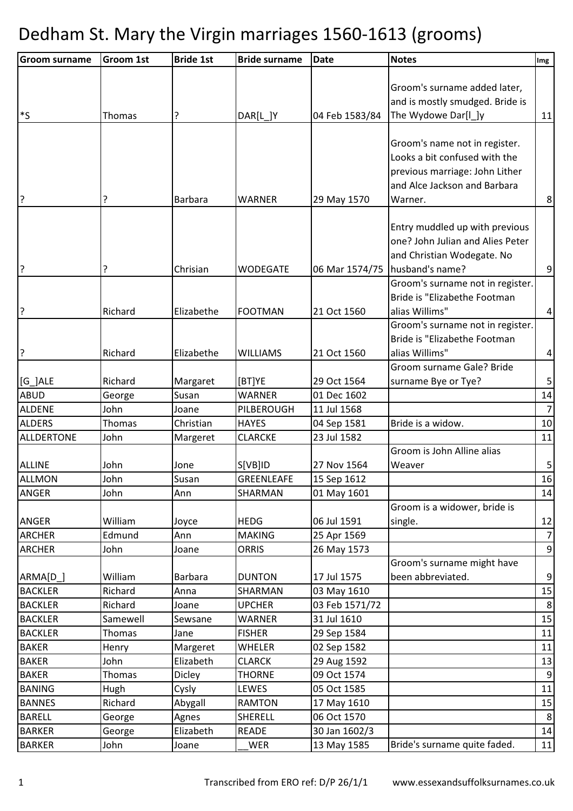| <b>Groom surname</b> | <b>Groom 1st</b> | <b>Bride 1st</b> | <b>Bride surname</b> | <b>Date</b>    | <b>Notes</b>                     | Img             |
|----------------------|------------------|------------------|----------------------|----------------|----------------------------------|-----------------|
|                      |                  |                  |                      |                |                                  |                 |
|                      |                  |                  |                      |                | Groom's surname added later,     |                 |
|                      |                  |                  |                      |                | and is mostly smudged. Bride is  |                 |
| $^{\ast}$ S          | Thomas           | ?                | DAR[L_]Y             | 04 Feb 1583/84 | The Wydowe Dar[I_]y              | 11              |
|                      |                  |                  |                      |                |                                  |                 |
|                      |                  |                  |                      |                | Groom's name not in register.    |                 |
|                      |                  |                  |                      |                | Looks a bit confused with the    |                 |
|                      |                  |                  |                      |                | previous marriage: John Lither   |                 |
|                      |                  |                  |                      |                | and Alce Jackson and Barbara     |                 |
| ļ?                   |                  | <b>Barbara</b>   | <b>WARNER</b>        | 29 May 1570    | Warner.                          | 8 <sup>1</sup>  |
|                      |                  |                  |                      |                |                                  |                 |
|                      |                  |                  |                      |                | Entry muddled up with previous   |                 |
|                      |                  |                  |                      |                | one? John Julian and Alies Peter |                 |
|                      |                  |                  |                      |                | and Christian Wodegate. No       |                 |
| ļ?                   |                  | Chrisian         | <b>WODEGATE</b>      | 06 Mar 1574/75 | husband's name?                  | 9               |
|                      |                  |                  |                      |                | Groom's surname not in register. |                 |
|                      |                  |                  |                      |                | Bride is "Elizabethe Footman     |                 |
| l?                   | Richard          | Elizabethe       | <b>FOOTMAN</b>       | 21 Oct 1560    | alias Willims"                   | $\overline{4}$  |
|                      |                  |                  |                      |                | Groom's surname not in register. |                 |
|                      |                  |                  |                      |                | Bride is "Elizabethe Footman     |                 |
| ?                    | Richard          | Elizabethe       | <b>WILLIAMS</b>      | 21 Oct 1560    | alias Willims"                   | 4 <sup>1</sup>  |
|                      |                  |                  |                      |                | Groom surname Gale? Bride        |                 |
| $[G_]ALE$            | Richard          | Margaret         | [BT]YE               | 29 Oct 1564    | surname Bye or Tye?              | 5 <sub>l</sub>  |
| <b>ABUD</b>          | George           | Susan            | <b>WARNER</b>        | 01 Dec 1602    |                                  | 14              |
| <b>ALDENE</b>        | John             | Joane            | PILBEROUGH           | 11 Jul 1568    |                                  | 7               |
| <b>ALDERS</b>        | Thomas           | Christian        | <b>HAYES</b>         | 04 Sep 1581    | Bride is a widow.                | 10              |
| <b>ALLDERTONE</b>    | John             | Margeret         | <b>CLARCKE</b>       | 23 Jul 1582    |                                  | 11              |
|                      |                  |                  |                      |                | Groom is John Alline alias       |                 |
| <b>ALLINE</b>        | John             | Jone             | S[VB]ID              | 27 Nov 1564    | Weaver                           | $\mathbf{5}$    |
| <b>ALLMON</b>        | John             | Susan            | <b>GREENLEAFE</b>    | 15 Sep 1612    |                                  | 16              |
| <b>ANGER</b>         | John             | Ann              | SHARMAN              | 01 May 1601    |                                  | 14              |
|                      |                  |                  |                      |                | Groom is a widower, bride is     |                 |
| <b>ANGER</b>         | William          | Joyce            | <b>HEDG</b>          | 06 Jul 1591    | single.                          | 12              |
| <b>ARCHER</b>        | Edmund           | Ann              | <b>MAKING</b>        | 25 Apr 1569    |                                  | $7 \frac{1}{2}$ |
| <b>ARCHER</b>        | John             | Joane            | <b>ORRIS</b>         | 26 May 1573    |                                  | 9               |
|                      |                  |                  |                      |                | Groom's surname might have       |                 |
| ARMA[D_]             | William          | Barbara          | <b>DUNTON</b>        | 17 Jul 1575    | been abbreviated.                | 9               |
| <b>BACKLER</b>       | Richard          | Anna             | SHARMAN              | 03 May 1610    |                                  | 15              |
| <b>BACKLER</b>       | Richard          | Joane            | <b>UPCHER</b>        | 03 Feb 1571/72 |                                  | 8               |
| <b>BACKLER</b>       | Samewell         | Sewsane          | <b>WARNER</b>        | 31 Jul 1610    |                                  | 15              |
| <b>BACKLER</b>       | Thomas           | Jane             | <b>FISHER</b>        | 29 Sep 1584    |                                  | 11              |
| <b>BAKER</b>         | Henry            | Margeret         | WHELER               | 02 Sep 1582    |                                  | 11              |
| <b>BAKER</b>         | John             | Elizabeth        | <b>CLARCK</b>        | 29 Aug 1592    |                                  | 13              |
| <b>BAKER</b>         | Thomas           | <b>Dicley</b>    | <b>THORNE</b>        | 09 Oct 1574    |                                  | 9               |
| <b>BANING</b>        | Hugh             | Cysly            | LEWES                | 05 Oct 1585    |                                  | 11              |
| <b>BANNES</b>        | Richard          | Abygall          | <b>RAMTON</b>        | 17 May 1610    |                                  | 15              |
| <b>BARELL</b>        | George           | Agnes            | SHERELL              | 06 Oct 1570    |                                  | 8               |
| <b>BARKER</b>        | George           | Elizabeth        | <b>READE</b>         | 30 Jan 1602/3  |                                  | 14              |
| <b>BARKER</b>        | John             | Joane            | WER                  | 13 May 1585    | Bride's surname quite faded.     | 11              |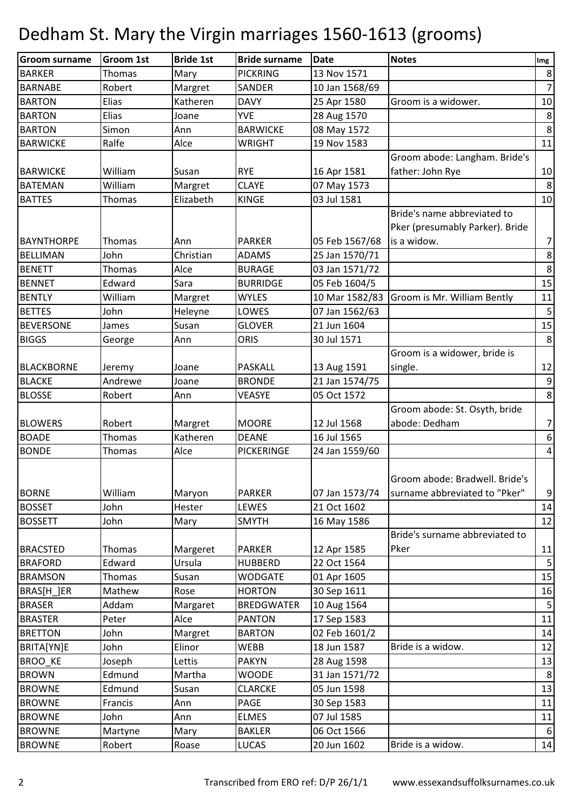| <b>Groom surname</b> | <b>Groom 1st</b> | <b>Bride 1st</b> | <b>Bride surname</b> | <b>Date</b>    | <b>Notes</b>                    | Img              |
|----------------------|------------------|------------------|----------------------|----------------|---------------------------------|------------------|
| <b>BARKER</b>        | Thomas           | Mary             | <b>PICKRING</b>      | 13 Nov 1571    |                                 | $\bf 8$          |
| <b>BARNABE</b>       | Robert           | Margret          | <b>SANDER</b>        | 10 Jan 1568/69 |                                 | $\overline{z}$   |
| <b>BARTON</b>        | Elias            | Katheren         | <b>DAVY</b>          | 25 Apr 1580    | Groom is a widower.             | 10               |
| <b>BARTON</b>        | Elias            | Joane            | <b>YVE</b>           | 28 Aug 1570    |                                 | $\bf 8$          |
| <b>BARTON</b>        | Simon            | Ann              | <b>BARWICKE</b>      | 08 May 1572    |                                 | $\,8\,$          |
| <b>BARWICKE</b>      | Ralfe            | Alce             | <b>WRIGHT</b>        | 19 Nov 1583    |                                 | 11               |
|                      |                  |                  |                      |                | Groom abode: Langham. Bride's   |                  |
| <b>BARWICKE</b>      | William          | Susan            | <b>RYE</b>           | 16 Apr 1581    | father: John Rye                | 10               |
| <b>BATEMAN</b>       | William          | Margret          | <b>CLAYE</b>         | 07 May 1573    |                                 | 8                |
| <b>BATTES</b>        | Thomas           | Elizabeth        | <b>KINGE</b>         | 03 Jul 1581    |                                 | 10               |
|                      |                  |                  |                      |                | Bride's name abbreviated to     |                  |
|                      |                  |                  |                      |                | Pker (presumably Parker). Bride |                  |
| <b>BAYNTHORPE</b>    | Thomas           | Ann              | <b>PARKER</b>        | 05 Feb 1567/68 | is a widow.                     | $\overline{7}$   |
| <b>BELLIMAN</b>      | John             | Christian        | <b>ADAMS</b>         | 25 Jan 1570/71 |                                 | $\bf 8$          |
| <b>BENETT</b>        | Thomas           | Alce             | <b>BURAGE</b>        | 03 Jan 1571/72 |                                 | $\bf 8$          |
| <b>BENNET</b>        | Edward           | Sara             | <b>BURRIDGE</b>      | 05 Feb 1604/5  |                                 | 15               |
| <b>BENTLY</b>        | William          | Margret          | <b>WYLES</b>         | 10 Mar 1582/83 | Groom is Mr. William Bently     | 11               |
| <b>BETTES</b>        | John             | Heleyne          | LOWES                | 07 Jan 1562/63 |                                 | 5                |
| <b>BEVERSONE</b>     | James            | Susan            | <b>GLOVER</b>        | 21 Jun 1604    |                                 | 15               |
| <b>BIGGS</b>         | George           | Ann              | <b>ORIS</b>          | 30 Jul 1571    |                                 | 8                |
|                      |                  |                  |                      |                | Groom is a widower, bride is    |                  |
| <b>BLACKBORNE</b>    | Jeremy           | Joane            | <b>PASKALL</b>       | 13 Aug 1591    | single.                         | 12               |
| <b>BLACKE</b>        | Andrewe          | Joane            | <b>BRONDE</b>        | 21 Jan 1574/75 |                                 | $\mathsf 9$      |
| <b>BLOSSE</b>        | Robert           | Ann              | <b>VEASYE</b>        | 05 Oct 1572    |                                 | 8                |
|                      |                  |                  |                      |                | Groom abode: St. Osyth, bride   |                  |
| <b>BLOWERS</b>       | Robert           | Margret          | <b>MOORE</b>         | 12 Jul 1568    | abode: Dedham                   | $\overline{7}$   |
| <b>BOADE</b>         | Thomas           | Katheren         | <b>DEANE</b>         | 16 Jul 1565    |                                 | $\boldsymbol{6}$ |
| <b>BONDE</b>         | Thomas           | Alce             | <b>PICKERINGE</b>    | 24 Jan 1559/60 |                                 | $\overline{4}$   |
|                      |                  |                  |                      |                |                                 |                  |
|                      |                  |                  |                      |                | Groom abode: Bradwell. Bride's  |                  |
| <b>BORNE</b>         | William          | Maryon           | <b>PARKER</b>        | 07 Jan 1573/74 | surname abbreviated to "Pker"   | 9                |
| <b>BOSSET</b>        | John             | Hester           | LEWES                | 21 Oct 1602    |                                 | 14               |
| <b>BOSSETT</b>       | John             | Mary             | <b>SMYTH</b>         | 16 May 1586    |                                 | 12               |
|                      |                  |                  |                      |                | Bride's surname abbreviated to  |                  |
| <b>BRACSTED</b>      | Thomas           | Margeret         | <b>PARKER</b>        | 12 Apr 1585    | Pker                            | 11               |
| <b>BRAFORD</b>       | Edward           | Ursula           | <b>HUBBERD</b>       | 22 Oct 1564    |                                 | 5                |
| <b>BRAMSON</b>       | Thomas           | Susan            | <b>WODGATE</b>       | 01 Apr 1605    |                                 | 15               |
| BRAS[H_]ER           | Mathew           | Rose             | <b>HORTON</b>        | 30 Sep 1611    |                                 | 16               |
| <b>BRASER</b>        | Addam            | Margaret         | <b>BREDGWATER</b>    | 10 Aug 1564    |                                 | 5                |
| <b>BRASTER</b>       | Peter            | Alce             | <b>PANTON</b>        | 17 Sep 1583    |                                 | 11               |
| <b>BRETTON</b>       | John             | Margret          | <b>BARTON</b>        | 02 Feb 1601/2  |                                 | 14               |
| BRITA[YN]E           | John             | Elinor           | WEBB                 | 18 Jun 1587    | Bride is a widow.               | 12               |
| <b>BROO KE</b>       | Joseph           | Lettis           | <b>PAKYN</b>         | 28 Aug 1598    |                                 | 13               |
| <b>BROWN</b>         | Edmund           | Martha           | <b>WOODE</b>         | 31 Jan 1571/72 |                                 | 8                |
| <b>BROWNE</b>        | Edmund           | Susan            | <b>CLARCKE</b>       | 05 Jun 1598    |                                 | 13               |
| <b>BROWNE</b>        | Francis          | Ann              | PAGE                 | 30 Sep 1583    |                                 | 11               |
| <b>BROWNE</b>        | John             | Ann              | <b>ELMES</b>         | 07 Jul 1585    |                                 | 11               |
| <b>BROWNE</b>        | Martyne          | Mary             | <b>BAKLER</b>        | 06 Oct 1566    |                                 | 6                |
| <b>BROWNE</b>        | Robert           | Roase            | <b>LUCAS</b>         | 20 Jun 1602    | Bride is a widow.               | 14               |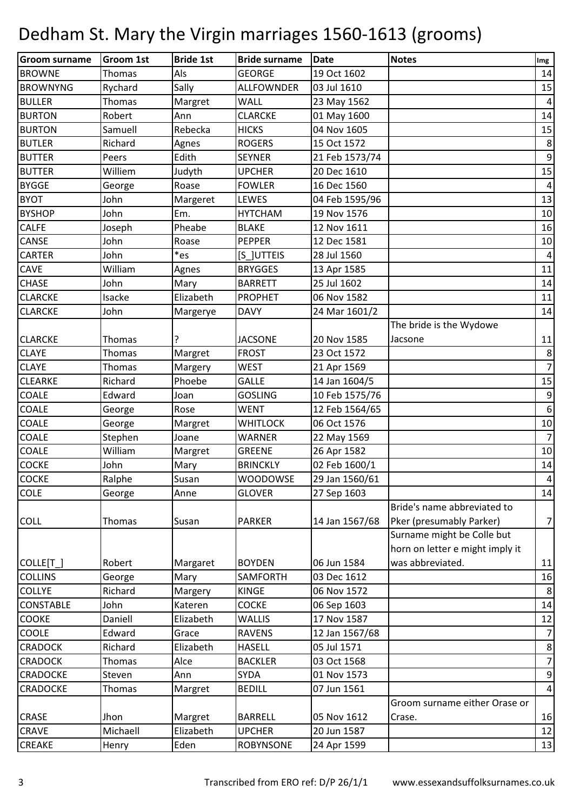| <b>Groom surname</b> | <b>Groom 1st</b> | <b>Bride 1st</b> | <b>Bride surname</b> | Date           | <b>Notes</b>                    | Img              |
|----------------------|------------------|------------------|----------------------|----------------|---------------------------------|------------------|
| <b>BROWNE</b>        | Thomas           | Als              | <b>GEORGE</b>        | 19 Oct 1602    |                                 | 14               |
| <b>BROWNYNG</b>      | Rychard          | Sally            | <b>ALLFOWNDER</b>    | 03 Jul 1610    |                                 | 15               |
| <b>BULLER</b>        | Thomas           | Margret          | <b>WALL</b>          | 23 May 1562    |                                 | $\overline{4}$   |
| <b>BURTON</b>        | Robert           | Ann              | <b>CLARCKE</b>       | 01 May 1600    |                                 | 14               |
| <b>BURTON</b>        | Samuell          | Rebecka          | <b>HICKS</b>         | 04 Nov 1605    |                                 | 15               |
| <b>BUTLER</b>        | Richard          | Agnes            | <b>ROGERS</b>        | 15 Oct 1572    |                                 | 8                |
| <b>BUTTER</b>        | Peers            | Edith            | <b>SEYNER</b>        | 21 Feb 1573/74 |                                 | $\boldsymbol{9}$ |
| <b>BUTTER</b>        | Williem          | Judyth           | <b>UPCHER</b>        | 20 Dec 1610    |                                 | 15               |
| <b>BYGGE</b>         | George           | Roase            | <b>FOWLER</b>        | 16 Dec 1560    |                                 | $\overline{a}$   |
| <b>BYOT</b>          | John             | Margeret         | LEWES                | 04 Feb 1595/96 |                                 | 13               |
| <b>BYSHOP</b>        | John             | Em.              | <b>HYTCHAM</b>       | 19 Nov 1576    |                                 | 10               |
| <b>CALFE</b>         | Joseph           | Pheabe           | <b>BLAKE</b>         | 12 Nov 1611    |                                 | 16               |
| CANSE                | John             | Roase            | <b>PEPPER</b>        | 12 Dec 1581    |                                 | 10               |
| <b>CARTER</b>        | John             | *es              | [S_]UTTEIS           | 28 Jul 1560    |                                 | $\overline{4}$   |
| CAVE                 | William          | Agnes            | <b>BRYGGES</b>       | 13 Apr 1585    |                                 | 11               |
| <b>CHASE</b>         | John             | Mary             | <b>BARRETT</b>       | 25 Jul 1602    |                                 | 14               |
| <b>CLARCKE</b>       | Isacke           | Elizabeth        | <b>PROPHET</b>       | 06 Nov 1582    |                                 | 11               |
| <b>CLARCKE</b>       | John             | Margerye         | <b>DAVY</b>          | 24 Mar 1601/2  |                                 | 14               |
|                      |                  |                  |                      |                | The bride is the Wydowe         |                  |
| <b>CLARCKE</b>       | Thomas           |                  | <b>JACSONE</b>       | 20 Nov 1585    | Jacsone                         | 11               |
| <b>CLAYE</b>         | Thomas           | Margret          | <b>FROST</b>         | 23 Oct 1572    |                                 | 8                |
| <b>CLAYE</b>         | Thomas           | Margery          | <b>WEST</b>          | 21 Apr 1569    |                                 | $\overline{7}$   |
| <b>CLEARKE</b>       | Richard          | Phoebe           | <b>GALLE</b>         | 14 Jan 1604/5  |                                 | 15               |
| <b>COALE</b>         | Edward           | Joan             | <b>GOSLING</b>       | 10 Feb 1575/76 |                                 | 9                |
| COALE                | George           | Rose             | <b>WENT</b>          | 12 Feb 1564/65 |                                 | $\boldsymbol{6}$ |
| <b>COALE</b>         | George           | Margret          | <b>WHITLOCK</b>      | 06 Oct 1576    |                                 | $10\,$           |
| <b>COALE</b>         | Stephen          | Joane            | <b>WARNER</b>        | 22 May 1569    |                                 | $\overline{7}$   |
| <b>COALE</b>         | William          | Margret          | <b>GREENE</b>        | 26 Apr 1582    |                                 | 10               |
| <b>COCKE</b>         | John             | Mary             | <b>BRINCKLY</b>      | 02 Feb 1600/1  |                                 | 14               |
| <b>COCKE</b>         | Ralphe           | Susan            | <b>WOODOWSE</b>      | 29 Jan 1560/61 |                                 | $\overline{4}$   |
| <b>COLE</b>          | George           | Anne             | <b>GLOVER</b>        | 27 Sep 1603    |                                 | 14               |
|                      |                  |                  |                      |                | Bride's name abbreviated to     |                  |
| <b>COLL</b>          | Thomas           | Susan            | <b>PARKER</b>        | 14 Jan 1567/68 | Pker (presumably Parker)        | $\overline{7}$   |
|                      |                  |                  |                      |                | Surname might be Colle but      |                  |
|                      |                  |                  |                      |                | horn on letter e might imply it |                  |
| COLLE[T_]            | Robert           | Margaret         | <b>BOYDEN</b>        | 06 Jun 1584    | was abbreviated.                | 11               |
| <b>COLLINS</b>       | George           | Mary             | <b>SAMFORTH</b>      | 03 Dec 1612    |                                 | 16               |
| <b>COLLYE</b>        | Richard          | Margery          | <b>KINGE</b>         | 06 Nov 1572    |                                 | 8                |
| <b>CONSTABLE</b>     | John             | Kateren          | <b>COCKE</b>         | 06 Sep 1603    |                                 | 14               |
| COOKE                | Daniell          | Elizabeth        | <b>WALLIS</b>        | 17 Nov 1587    |                                 | 12               |
| COOLE                | Edward           | Grace            | <b>RAVENS</b>        | 12 Jan 1567/68 |                                 | $\overline{7}$   |
| <b>CRADOCK</b>       | Richard          | Elizabeth        | <b>HASELL</b>        | 05 Jul 1571    |                                 | 8                |
| <b>CRADOCK</b>       | Thomas           | Alce             | <b>BACKLER</b>       | 03 Oct 1568    |                                 | $\overline{7}$   |
| <b>CRADOCKE</b>      | Steven           | Ann              | <b>SYDA</b>          | 01 Nov 1573    |                                 | $\boldsymbol{9}$ |
| <b>CRADOCKE</b>      | Thomas           | Margret          | <b>BEDILL</b>        | 07 Jun 1561    |                                 | $\overline{4}$   |
|                      |                  |                  |                      |                | Groom surname either Orase or   |                  |
| <b>CRASE</b>         | Jhon             | Margret          | <b>BARRELL</b>       | 05 Nov 1612    | Crase.                          | 16               |
| <b>CRAVE</b>         | Michaell         | Elizabeth        | <b>UPCHER</b>        | 20 Jun 1587    |                                 | 12               |
| <b>CREAKE</b>        | Henry            | Eden             | <b>ROBYNSONE</b>     | 24 Apr 1599    |                                 | 13               |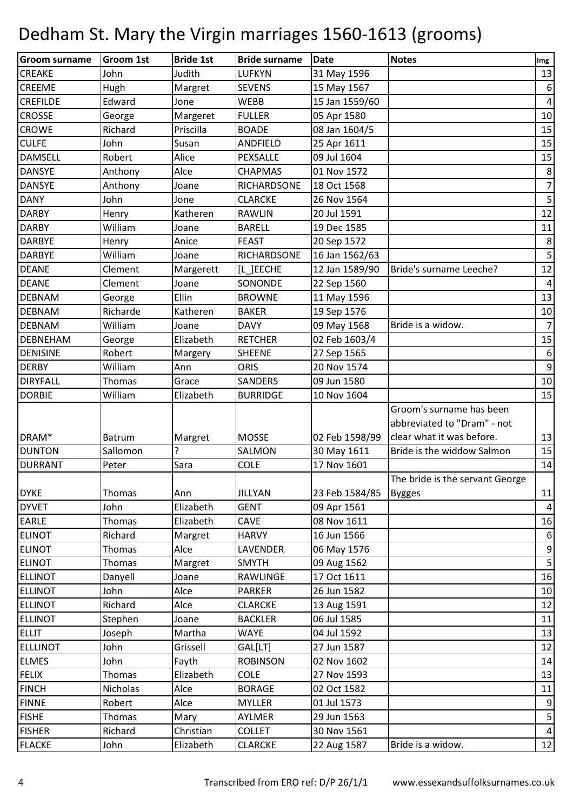| Groom surname   | <b>Groom 1st</b> | <b>Bride 1st</b> | <b>Bride surname</b> | <b>Date</b>    | <b>Notes</b>                    | Img              |
|-----------------|------------------|------------------|----------------------|----------------|---------------------------------|------------------|
| <b>CREAKE</b>   | John             | Judith           | <b>LUFKYN</b>        | 31 May 1596    |                                 | 13               |
| <b>CREEME</b>   | Hugh             | Margret          | <b>SEVENS</b>        | 15 May 1567    |                                 | $\boldsymbol{6}$ |
| <b>CREFILDE</b> | Edward           | Jone             | <b>WEBB</b>          | 15 Jan 1559/60 |                                 | $\overline{4}$   |
| <b>CROSSE</b>   | George           | Margeret         | <b>FULLER</b>        | 05 Apr 1580    |                                 | 10               |
| <b>CROWE</b>    | Richard          | Priscilla        | <b>BOADE</b>         | 08 Jan 1604/5  |                                 | 15               |
| <b>CULFE</b>    | John             | Susan            | ANDFIELD             | 25 Apr 1611    |                                 | 15               |
| <b>DAMSELL</b>  | Robert           | Alice            | PEXSALLE             | 09 Jul 1604    |                                 | 15               |
| <b>DANSYE</b>   | Anthony          | Alce             | <b>CHAPMAS</b>       | 01 Nov 1572    |                                 | $\,8\,$          |
| <b>DANSYE</b>   | Anthony          | Joane            | RICHARDSONE          | 18 Oct 1568    |                                 | $\overline{7}$   |
| <b>DANY</b>     | John             | Jone             | <b>CLARCKE</b>       | 26 Nov 1564    |                                 | 5                |
| <b>DARBY</b>    | Henry            | Katheren         | <b>RAWLIN</b>        | 20 Jul 1591    |                                 | 12               |
| <b>DARBY</b>    | William          | Joane            | <b>BARELL</b>        | 19 Dec 1585    |                                 | 11               |
| <b>DARBYE</b>   | Henry            | Anice            | <b>FEAST</b>         | 20 Sep 1572    |                                 | $\bf 8$          |
| <b>DARBYE</b>   | William          | Joane            | <b>RICHARDSONE</b>   | 16 Jan 1562/63 |                                 | 5                |
| <b>DEANE</b>    | Clement          | Margerett        | IL JEECHE            | 12 Jan 1589/90 | Bride's surname Leeche?         | 12               |
| <b>DEANE</b>    | Clement          | Joane            | SONONDE              | 22 Sep 1560    |                                 | $\overline{a}$   |
| <b>DEBNAM</b>   | George           | Ellin            | <b>BROWNE</b>        | 11 May 1596    |                                 | 13               |
| <b>DEBNAM</b>   | Richarde         | Katheren         | <b>BAKER</b>         | 19 Sep 1576    |                                 | 10               |
| <b>DEBNAM</b>   | William          | Joane            | <b>DAVY</b>          | 09 May 1568    | Bride is a widow.               | $\overline{7}$   |
| <b>DEBNEHAM</b> | George           | Elizabeth        | <b>RETCHER</b>       | 02 Feb 1603/4  |                                 | 15               |
| <b>DENISINE</b> | Robert           | Margery          | <b>SHEENE</b>        | 27 Sep 1565    |                                 | $\boldsymbol{6}$ |
| <b>DERBY</b>    | William          | Ann              | <b>ORIS</b>          | 20 Nov 1574    |                                 | $\boldsymbol{9}$ |
| <b>DIRYFALL</b> | Thomas           | Grace            | <b>SANDERS</b>       | 09 Jun 1580    |                                 | 10               |
| <b>DORBIE</b>   | William          | Elizabeth        | <b>BURRIDGE</b>      | 10 Nov 1604    |                                 | 15               |
|                 |                  |                  |                      |                | Groom's surname has been        |                  |
|                 |                  |                  |                      |                | abbreviated to "Dram" - not     |                  |
| DRAM*           | <b>Batrum</b>    | Margret          | <b>MOSSE</b>         | 02 Feb 1598/99 | clear what it was before.       | 13               |
| <b>DUNTON</b>   | Sallomon         | ?                | SALMON               | 30 May 1611    | Bride is the widdow Salmon      | 15               |
| <b>DURRANT</b>  | Peter            | Sara             | <b>COLE</b>          | 17 Nov 1601    |                                 | 14               |
|                 |                  |                  |                      |                | The bride is the servant George |                  |
| <b>DYKE</b>     | Thomas           | Ann              | <b>JILLYAN</b>       | 23 Feb 1584/85 | <b>Bygges</b>                   | 11               |
| <b>DYVET</b>    | John             | Elizabeth        | <b>GENT</b>          | 09 Apr 1561    |                                 | $\overline{a}$   |
| <b>EARLE</b>    | Thomas           | Elizabeth        | CAVE                 | 08 Nov 1611    |                                 | 16               |
| <b>ELINOT</b>   | Richard          | Margret          | <b>HARVY</b>         | 16 Jun 1566    |                                 | 6                |
| <b>ELINOT</b>   | Thomas           | Alce             | LAVENDER             | 06 May 1576    |                                 | $\mathsf 9$      |
| <b>ELINOT</b>   | Thomas           | Margret          | <b>SMYTH</b>         | 09 Aug 1562    |                                 | $5\overline{)}$  |
| <b>ELLINOT</b>  | Danyell          | Joane            | RAWLINGE             | 17 Oct 1611    |                                 | 16               |
| <b>ELLINOT</b>  | John             | Alce             | <b>PARKER</b>        | 26 Jun 1582    |                                 | 10               |
| <b>ELLINOT</b>  | Richard          | Alce             | <b>CLARCKE</b>       | 13 Aug 1591    |                                 | 12               |
| <b>ELLINOT</b>  | Stephen          | Joane            | <b>BACKLER</b>       | 06 Jul 1585    |                                 | 11               |
| <b>ELLIT</b>    | Joseph           | Martha           | <b>WAYE</b>          | 04 Jul 1592    |                                 | 13               |
| <b>ELLLINOT</b> | John             | Grissell         | GAL[LT]              | 27 Jun 1587    |                                 | 12               |
| <b>ELMES</b>    | John             | Fayth            | <b>ROBINSON</b>      | 02 Nov 1602    |                                 | 14               |
| <b>FELIX</b>    | Thomas           | Elizabeth        | <b>COLE</b>          | 27 Nov 1593    |                                 | 13               |
| <b>FINCH</b>    | Nicholas         | Alce             | <b>BORAGE</b>        | 02 Oct 1582    |                                 | 11               |
| <b>FINNE</b>    | Robert           | Alce             | <b>MYLLER</b>        | 01 Jul 1573    |                                 | $\boldsymbol{9}$ |
| <b>FISHE</b>    | Thomas           | Mary             | AYLMER               | 29 Jun 1563    |                                 | $\mathsf S$      |
| <b>FISHER</b>   | Richard          | Christian        | <b>COLLET</b>        | 30 Nov 1561    |                                 | $\overline{a}$   |
| <b>FLACKE</b>   | John             | Elizabeth        | <b>CLARCKE</b>       | 22 Aug 1587    | Bride is a widow.               | 12               |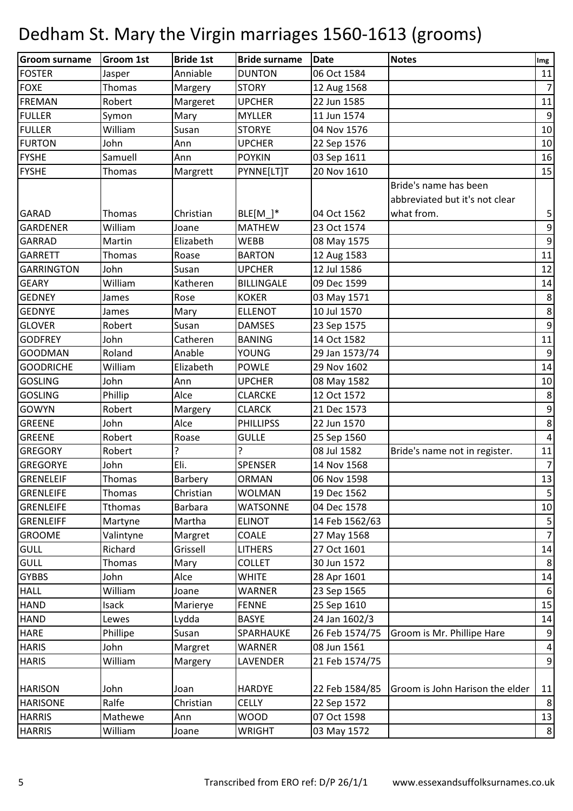| Groom surname     | <b>Groom 1st</b> | <b>Bride 1st</b> | <b>Bride surname</b> | Date           | <b>Notes</b>                    | Img                      |
|-------------------|------------------|------------------|----------------------|----------------|---------------------------------|--------------------------|
| <b>FOSTER</b>     | Jasper           | Anniable         | <b>DUNTON</b>        | 06 Oct 1584    |                                 | 11                       |
| <b>FOXE</b>       | Thomas           | Margery          | <b>STORY</b>         | 12 Aug 1568    |                                 | $\overline{7}$           |
| <b>FREMAN</b>     | Robert           | Margeret         | <b>UPCHER</b>        | 22 Jun 1585    |                                 | 11                       |
| <b>FULLER</b>     | Symon            | Mary             | <b>MYLLER</b>        | 11 Jun 1574    |                                 | $\boldsymbol{9}$         |
| <b>FULLER</b>     | William          | Susan            | <b>STORYE</b>        | 04 Nov 1576    |                                 | 10                       |
| <b>FURTON</b>     | John             | Ann              | <b>UPCHER</b>        | 22 Sep 1576    |                                 | 10                       |
| <b>FYSHE</b>      | Samuell          | Ann              | <b>POYKIN</b>        | 03 Sep 1611    |                                 | 16                       |
| <b>FYSHE</b>      | Thomas           | Margrett         | PYNNE[LT]T           | 20 Nov 1610    |                                 | 15                       |
|                   |                  |                  |                      |                | Bride's name has been           |                          |
|                   |                  |                  |                      |                | abbreviated but it's not clear  |                          |
| <b>GARAD</b>      | Thomas           | Christian        | BLE[M $]$ *          | 04 Oct 1562    | what from.                      | 5                        |
| <b>GARDENER</b>   | William          | Joane            | <b>MATHEW</b>        | 23 Oct 1574    |                                 | $\overline{9}$           |
| <b>GARRAD</b>     | Martin           | Elizabeth        | <b>WEBB</b>          | 08 May 1575    |                                 | $\boldsymbol{9}$         |
| <b>GARRETT</b>    | Thomas           | Roase            | <b>BARTON</b>        | 12 Aug 1583    |                                 | 11                       |
| <b>GARRINGTON</b> | John             | Susan            | <b>UPCHER</b>        | 12 Jul 1586    |                                 | 12                       |
| <b>GEARY</b>      | William          | Katheren         | <b>BILLINGALE</b>    | 09 Dec 1599    |                                 | 14                       |
| <b>GEDNEY</b>     | James            | Rose             | <b>KOKER</b>         | 03 May 1571    |                                 | $\,8\,$                  |
| <b>GEDNYE</b>     | James            | Mary             | <b>ELLENOT</b>       | 10 Jul 1570    |                                 | $\,8\,$                  |
| <b>GLOVER</b>     | Robert           | Susan            | <b>DAMSES</b>        | 23 Sep 1575    |                                 | $\overline{9}$           |
| <b>GODFREY</b>    | John             | Catheren         | <b>BANING</b>        | 14 Oct 1582    |                                 | 11                       |
| <b>GOODMAN</b>    | Roland           | Anable           | YOUNG                | 29 Jan 1573/74 |                                 | $\boldsymbol{9}$         |
| <b>GOODRICHE</b>  | William          | Elizabeth        | <b>POWLE</b>         | 29 Nov 1602    |                                 | 14                       |
| <b>GOSLING</b>    | John             | Ann              | <b>UPCHER</b>        | 08 May 1582    |                                 | 10                       |
| <b>GOSLING</b>    | Phillip          | Alce             | <b>CLARCKE</b>       | 12 Oct 1572    |                                 | $\,8\,$                  |
| <b>GOWYN</b>      | Robert           | Margery          | <b>CLARCK</b>        | 21 Dec 1573    |                                 | $\mathsf 9$              |
| <b>GREENE</b>     | John             | Alce             | <b>PHILLIPSS</b>     | 22 Jun 1570    |                                 | $\,8\,$                  |
| <b>GREENE</b>     | Robert           | Roase            | <b>GULLE</b>         | 25 Sep 1560    |                                 | $\sqrt{4}$               |
| <b>GREGORY</b>    | Robert           | 5.               | ?                    | 08 Jul 1582    | Bride's name not in register.   | 11                       |
| <b>GREGORYE</b>   | John             | Eli.             | <b>SPENSER</b>       | 14 Nov 1568    |                                 | $\overline{7}$           |
| GRENELEIF         | Thomas           | Barbery          | ORMAN                | 06 Nov 1598    |                                 | 13                       |
| GRENLEIFE         | Thomas           | Christian        | <b>WOLMAN</b>        | 19 Dec 1562    |                                 | $\overline{5}$           |
| <b>GRENLEIFE</b>  | Tthomas          | <b>Barbara</b>   | <b>WATSONNE</b>      | 04 Dec 1578    |                                 | 10                       |
| <b>GRENLEIFF</b>  | Martyne          | Martha           | <b>ELINOT</b>        | 14 Feb 1562/63 |                                 | $\mathsf S$              |
| <b>GROOME</b>     | Valintyne        | Margret          | COALE                | 27 May 1568    |                                 | $\overline{7}$           |
| <b>GULL</b>       | Richard          | Grissell         | <b>LITHERS</b>       | 27 Oct 1601    |                                 | 14                       |
| <b>GULL</b>       | Thomas           | Mary             | <b>COLLET</b>        | 30 Jun 1572    |                                 | $\,8\,$                  |
| <b>GYBBS</b>      | John             | Alce             | <b>WHITE</b>         | 28 Apr 1601    |                                 | 14                       |
| <b>HALL</b>       | William          | Joane            | <b>WARNER</b>        | 23 Sep 1565    |                                 | $\boldsymbol{6}$         |
| <b>HAND</b>       | Isack            | Marierye         | <b>FENNE</b>         | 25 Sep 1610    |                                 | 15                       |
| <b>HAND</b>       | Lewes            | Lydda            | <b>BASYE</b>         | 24 Jan 1602/3  |                                 | 14                       |
| <b>HARE</b>       | Phillipe         | Susan            | SPARHAUKE            | 26 Feb 1574/75 | Groom is Mr. Phillipe Hare      | $\boldsymbol{9}$         |
| <b>HARIS</b>      | John             | Margret          | WARNER               | 08 Jun 1561    |                                 | $\overline{\mathcal{A}}$ |
| <b>HARIS</b>      | William          | Margery          | LAVENDER             | 21 Feb 1574/75 |                                 | 9                        |
|                   |                  |                  |                      |                |                                 |                          |
| <b>HARISON</b>    | John             | Joan             | <b>HARDYE</b>        | 22 Feb 1584/85 | Groom is John Harison the elder | 11                       |
| <b>HARISONE</b>   | Ralfe            | Christian        | <b>CELLY</b>         | 22 Sep 1572    |                                 | $\,8\,$                  |
| <b>HARRIS</b>     | Mathewe          | Ann              | <b>WOOD</b>          | 07 Oct 1598    |                                 | 13                       |
| <b>HARRIS</b>     | William          | Joane            | <b>WRIGHT</b>        | 03 May 1572    |                                 | $\,8\,$                  |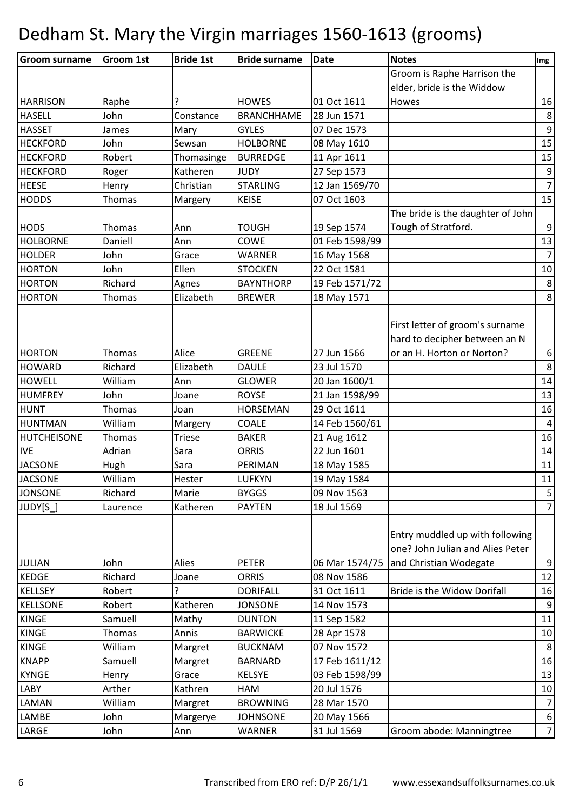| <b>Groom surname</b> | Groom 1st | <b>Bride 1st</b> | <b>Bride surname</b> | <b>Date</b>    | <b>Notes</b>                                                                                   | Img              |
|----------------------|-----------|------------------|----------------------|----------------|------------------------------------------------------------------------------------------------|------------------|
|                      |           |                  |                      |                | Groom is Raphe Harrison the                                                                    |                  |
|                      |           |                  |                      |                | elder, bride is the Widdow                                                                     |                  |
| <b>HARRISON</b>      | Raphe     | ?                | <b>HOWES</b>         | 01 Oct 1611    | Howes                                                                                          | 16               |
| <b>HASELL</b>        | John      | Constance        | <b>BRANCHHAME</b>    | 28 Jun 1571    |                                                                                                | $\bf 8$          |
| <b>HASSET</b>        | James     | Mary             | <b>GYLES</b>         | 07 Dec 1573    |                                                                                                | $\overline{9}$   |
| <b>HECKFORD</b>      | John      | Sewsan           | <b>HOLBORNE</b>      | 08 May 1610    |                                                                                                | 15               |
| <b>HECKFORD</b>      | Robert    | Thomasinge       | <b>BURREDGE</b>      | 11 Apr 1611    |                                                                                                | 15               |
| <b>HECKFORD</b>      | Roger     | Katheren         | <b>JUDY</b>          | 27 Sep 1573    |                                                                                                | $\boldsymbol{9}$ |
| <b>HEESE</b>         | Henry     | Christian        | <b>STARLING</b>      | 12 Jan 1569/70 |                                                                                                | $\overline{7}$   |
| <b>HODDS</b>         | Thomas    | Margery          | <b>KEISE</b>         | 07 Oct 1603    |                                                                                                | 15               |
|                      |           |                  |                      |                | The bride is the daughter of John                                                              |                  |
| <b>HODS</b>          | Thomas    | Ann              | <b>TOUGH</b>         | 19 Sep 1574    | Tough of Stratford.                                                                            | $\boldsymbol{9}$ |
| <b>HOLBORNE</b>      | Daniell   | Ann              | COWE                 | 01 Feb 1598/99 |                                                                                                | 13               |
| <b>HOLDER</b>        | John      | Grace            | <b>WARNER</b>        | 16 May 1568    |                                                                                                | $\overline{7}$   |
| <b>HORTON</b>        | John      | Ellen            | <b>STOCKEN</b>       | 22 Oct 1581    |                                                                                                | 10               |
| <b>HORTON</b>        | Richard   | Agnes            | <b>BAYNTHORP</b>     | 19 Feb 1571/72 |                                                                                                | $\,8\,$          |
| <b>HORTON</b>        | Thomas    | Elizabeth        | <b>BREWER</b>        | 18 May 1571    |                                                                                                | 8                |
| <b>HORTON</b>        | Thomas    | Alice            | <b>GREENE</b>        | 27 Jun 1566    | First letter of groom's surname<br>hard to decipher between an N<br>or an H. Horton or Norton? | $\sqrt{6}$       |
| <b>HOWARD</b>        | Richard   | Elizabeth        | <b>DAULE</b>         | 23 Jul 1570    |                                                                                                | $\bf 8$          |
| <b>HOWELL</b>        | William   | Ann              | <b>GLOWER</b>        | 20 Jan 1600/1  |                                                                                                | 14               |
| <b>HUMFREY</b>       | John      | Joane            | <b>ROYSE</b>         | 21 Jan 1598/99 |                                                                                                | 13               |
| <b>HUNT</b>          | Thomas    | Joan             | <b>HORSEMAN</b>      | 29 Oct 1611    |                                                                                                | 16               |
| <b>HUNTMAN</b>       | William   | Margery          | COALE                | 14 Feb 1560/61 |                                                                                                | $\overline{4}$   |
| <b>HUTCHEISONE</b>   | Thomas    | <b>Triese</b>    | <b>BAKER</b>         | 21 Aug 1612    |                                                                                                | 16               |
| <b>IVE</b>           | Adrian    | Sara             | <b>ORRIS</b>         | 22 Jun 1601    |                                                                                                | 14               |
| <b>JACSONE</b>       | Hugh      | Sara             | PERIMAN              | 18 May 1585    |                                                                                                | 11               |
| <b>JACSONE</b>       | William   | Hester           | <b>LUFKYN</b>        | 19 May 1584    |                                                                                                | 11               |
| <b>JONSONE</b>       | Richard   | Marie            | <b>BYGGS</b>         | 09 Nov 1563    |                                                                                                | 5                |
| JUDY[S_]             | Laurence  | Katheren         | <b>PAYTEN</b>        | 18 Jul 1569    |                                                                                                | $\overline{7}$   |
| <b>JULIAN</b>        | John      | Alies            | <b>PETER</b>         | 06 Mar 1574/75 | Entry muddled up with following<br>one? John Julian and Alies Peter<br>and Christian Wodegate  | $\mathsf 9$      |
| <b>KEDGE</b>         | Richard   | Joane            | <b>ORRIS</b>         | 08 Nov 1586    |                                                                                                | 12               |
| <b>KELLSEY</b>       | Robert    | ς                | <b>DORIFALL</b>      | 31 Oct 1611    | Bride is the Widow Dorifall                                                                    | 16               |
| <b>KELLSONE</b>      | Robert    | Katheren         | <b>JONSONE</b>       | 14 Nov 1573    |                                                                                                | $\boldsymbol{9}$ |
| <b>KINGE</b>         | Samuell   | Mathy            | <b>DUNTON</b>        | 11 Sep 1582    |                                                                                                | 11               |
| <b>KINGE</b>         | Thomas    | Annis            | <b>BARWICKE</b>      | 28 Apr 1578    |                                                                                                | 10               |
| <b>KINGE</b>         | William   | Margret          | <b>BUCKNAM</b>       | 07 Nov 1572    |                                                                                                | 8                |
| <b>KNAPP</b>         | Samuell   | Margret          | <b>BARNARD</b>       | 17 Feb 1611/12 |                                                                                                | 16               |
| <b>KYNGE</b>         | Henry     | Grace            | <b>KELSYE</b>        | 03 Feb 1598/99 |                                                                                                | 13               |
| <b>LABY</b>          | Arther    | Kathren          | HAM                  | 20 Jul 1576    |                                                                                                | 10               |
| <b>LAMAN</b>         | William   | Margret          | <b>BROWNING</b>      | 28 Mar 1570    |                                                                                                | $\overline{7}$   |
| LAMBE                | John      | Margerye         | <b>JOHNSONE</b>      | 20 May 1566    |                                                                                                | $\boldsymbol{6}$ |
| LARGE                | John      | Ann              | WARNER               | 31 Jul 1569    | Groom abode: Manningtree                                                                       | $\overline{7}$   |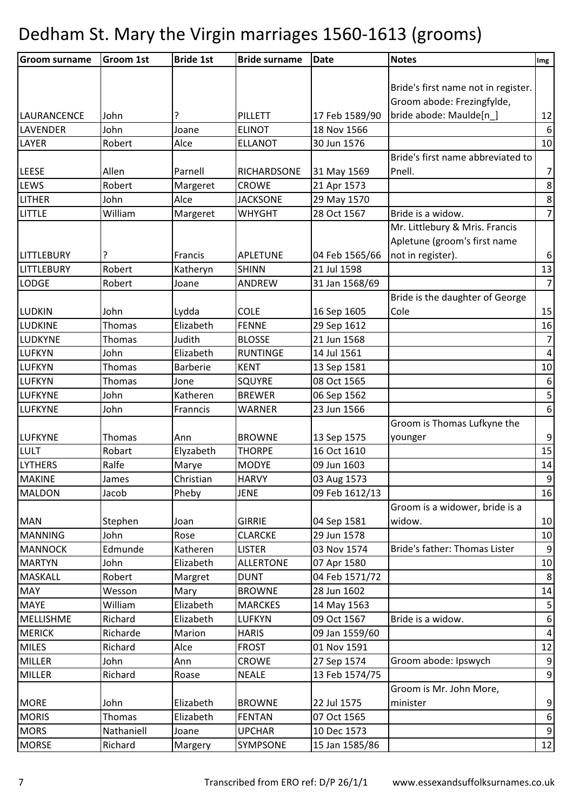| <b>Groom surname</b> | <b>Groom 1st</b> | <b>Bride 1st</b> | <b>Bride surname</b> | Date           | <b>Notes</b>                        | Img                     |
|----------------------|------------------|------------------|----------------------|----------------|-------------------------------------|-------------------------|
|                      |                  |                  |                      |                |                                     |                         |
|                      |                  |                  |                      |                | Bride's first name not in register. |                         |
|                      |                  |                  |                      |                | Groom abode: Frezingfylde,          |                         |
| <b>LAURANCENCE</b>   | John             |                  | PILLETT              | 17 Feb 1589/90 | bride abode: Maulde[n_]             | 12                      |
| <b>LAVENDER</b>      | John             | Joane            | <b>ELINOT</b>        | 18 Nov 1566    |                                     | 6                       |
| LAYER                | Robert           | Alce             | <b>ELLANOT</b>       | 30 Jun 1576    |                                     | 10                      |
|                      |                  |                  |                      |                | Bride's first name abbreviated to   |                         |
| <b>LEESE</b>         | Allen            | Parnell          | RICHARDSONE          | 31 May 1569    | Pnell.                              | $\overline{7}$          |
| <b>LEWS</b>          | Robert           | Margeret         | <b>CROWE</b>         | 21 Apr 1573    |                                     | $\bf 8$                 |
| <b>LITHER</b>        | John             | Alce             | <b>JACKSONE</b>      | 29 May 1570    |                                     | $\bf 8$                 |
| <b>LITTLE</b>        | William          | Margeret         | WHYGHT               | 28 Oct 1567    | Bride is a widow.                   | $\overline{7}$          |
|                      |                  |                  |                      |                | Mr. Littlebury & Mris. Francis      |                         |
|                      |                  |                  |                      |                | Apletune (groom's first name        |                         |
| <b>LITTLEBURY</b>    |                  | Francis          | <b>APLETUNE</b>      | 04 Feb 1565/66 | not in register).                   | $\boldsymbol{6}$        |
| <b>LITTLEBURY</b>    | Robert           | Katheryn         | <b>SHINN</b>         | 21 Jul 1598    |                                     | 13                      |
| <b>LODGE</b>         | Robert           | Joane            | ANDREW               | 31 Jan 1568/69 |                                     | $\overline{7}$          |
|                      |                  |                  |                      |                | Bride is the daughter of George     |                         |
| <b>LUDKIN</b>        | John             | Lydda            | <b>COLE</b>          | 16 Sep 1605    | Cole                                | 15                      |
| LUDKINE              | Thomas           | Elizabeth        | <b>FENNE</b>         | 29 Sep 1612    |                                     | 16                      |
| LUDKYNE              | Thomas           | Judith           | <b>BLOSSE</b>        | 21 Jun 1568    |                                     | $\overline{7}$          |
| <b>LUFKYN</b>        | John             | Elizabeth        | <b>RUNTINGE</b>      | 14 Jul 1561    |                                     | $\overline{4}$          |
| <b>LUFKYN</b>        | Thomas           | <b>Barberie</b>  | <b>KENT</b>          | 13 Sep 1581    |                                     | 10                      |
| <b>LUFKYN</b>        | Thomas           | Jone             | <b>SQUYRE</b>        | 08 Oct 1565    |                                     | 6                       |
| <b>LUFKYNE</b>       | John             | Katheren         | <b>BREWER</b>        | 06 Sep 1562    |                                     | $\overline{\mathbf{5}}$ |
| <b>LUFKYNE</b>       | John             | Franncis         | WARNER               | 23 Jun 1566    |                                     | $\sqrt{6}$              |
|                      |                  |                  |                      |                | Groom is Thomas Lufkyne the         |                         |
| <b>LUFKYNE</b>       | Thomas           | Ann              | <b>BROWNE</b>        | 13 Sep 1575    | younger                             | $\boldsymbol{9}$        |
| <b>LULT</b>          | Robart           | Elyzabeth        | <b>THORPE</b>        | 16 Oct 1610    |                                     | 15                      |
| <b>LYTHERS</b>       | Ralfe            | Marye            | <b>MODYE</b>         | 09 Jun 1603    |                                     | 14                      |
| <b>MAKINE</b>        | James            | Christian        | <b>HARVY</b>         | 03 Aug 1573    |                                     | 9                       |
| <b>MALDON</b>        | Jacob            | Pheby            | <b>JENE</b>          | 09 Feb 1612/13 |                                     | 16                      |
|                      |                  |                  |                      |                | Groom is a widower, bride is a      |                         |
| <b>MAN</b>           | Stephen          | Joan             | <b>GIRRIE</b>        | 04 Sep 1581    | widow.                              | 10                      |
| <b>MANNING</b>       | John             | Rose             | <b>CLARCKE</b>       | 29 Jun 1578    |                                     | 10                      |
| <b>MANNOCK</b>       | Edmunde          | Katheren         | <b>LISTER</b>        | 03 Nov 1574    | Bride's father: Thomas Lister       | 9                       |
| <b>MARTYN</b>        | John             | Elizabeth        | <b>ALLERTONE</b>     | 07 Apr 1580    |                                     | 10                      |
| <b>MASKALL</b>       | Robert           | Margret          | <b>DUNT</b>          | 04 Feb 1571/72 |                                     | $8\phantom{1}$          |
| <b>MAY</b>           | Wesson           | Mary             | <b>BROWNE</b>        | 28 Jun 1602    |                                     | 14                      |
| <b>MAYE</b>          | William          | Elizabeth        | <b>MARCKES</b>       | 14 May 1563    |                                     | $\mathsf S$             |
| MELLISHME            | Richard          | Elizabeth        | <b>LUFKYN</b>        | 09 Oct 1567    | Bride is a widow.                   | $\boldsymbol{6}$        |
| <b>MERICK</b>        | Richarde         | Marion           | <b>HARIS</b>         | 09 Jan 1559/60 |                                     | $\overline{a}$          |
| <b>MILES</b>         | Richard          | Alce             | <b>FROST</b>         | 01 Nov 1591    |                                     | 12                      |
| <b>MILLER</b>        | John             | Ann              | <b>CROWE</b>         | 27 Sep 1574    | Groom abode: Ipswych                | $\boldsymbol{9}$        |
| <b>MILLER</b>        | Richard          | Roase            | <b>NEALE</b>         | 13 Feb 1574/75 |                                     | $\boldsymbol{9}$        |
|                      |                  |                  |                      |                | Groom is Mr. John More,             |                         |
| <b>MORE</b>          | John             | Elizabeth        | <b>BROWNE</b>        | 22 Jul 1575    | minister                            | $\boldsymbol{9}$        |
| <b>MORIS</b>         | Thomas           | Elizabeth        | <b>FENTAN</b>        | 07 Oct 1565    |                                     | $\boldsymbol{6}$        |
| <b>MORS</b>          | Nathaniell       | Joane            | <b>UPCHAR</b>        | 10 Dec 1573    |                                     | $\boldsymbol{9}$        |
| <b>MORSE</b>         | Richard          | Margery          | SYMPSONE             | 15 Jan 1585/86 |                                     | 12                      |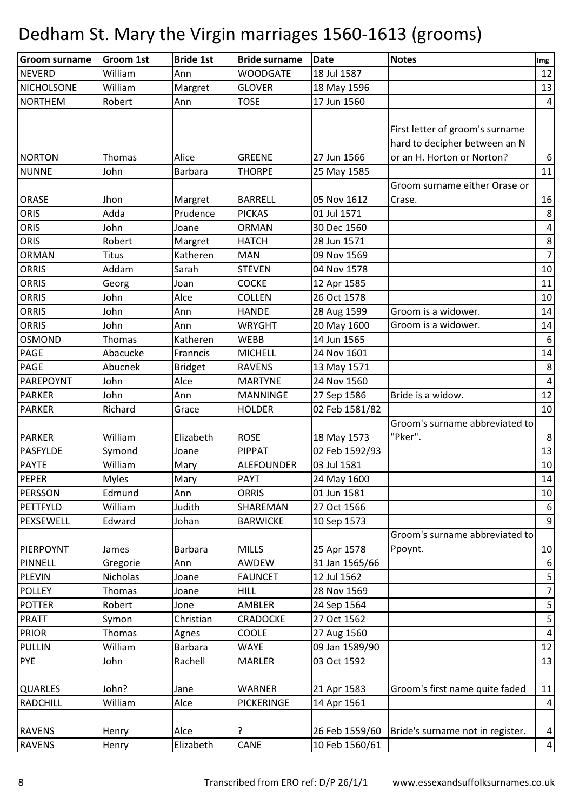| <b>Groom surname</b> | <b>Groom 1st</b> | <b>Bride 1st</b> | <b>Bride surname</b> | Date           | <b>Notes</b>                     | Img             |
|----------------------|------------------|------------------|----------------------|----------------|----------------------------------|-----------------|
| <b>NEVERD</b>        | William          | Ann              | <b>WOODGATE</b>      | 18 Jul 1587    |                                  | 12              |
| <b>NICHOLSONE</b>    | William          | Margret          | <b>GLOVER</b>        | 18 May 1596    |                                  | 13              |
| <b>NORTHEM</b>       | Robert           | Ann              | <b>TOSE</b>          | 17 Jun 1560    |                                  | $\vert$         |
|                      |                  |                  |                      |                |                                  |                 |
|                      |                  |                  |                      |                | First letter of groom's surname  |                 |
|                      |                  |                  |                      |                | hard to decipher between an N    |                 |
| <b>NORTON</b>        | Thomas           | Alice            | <b>GREENE</b>        | 27 Jun 1566    | or an H. Horton or Norton?       | $6 \mid$        |
| <b>NUNNE</b>         | John             | <b>Barbara</b>   | <b>THORPE</b>        | 25 May 1585    |                                  | 11              |
|                      |                  |                  |                      |                | Groom surname either Orase or    |                 |
| <b>ORASE</b>         | Jhon             | Margret          | <b>BARRELL</b>       | 05 Nov 1612    | Crase.                           | 16              |
| <b>ORIS</b>          | Adda             | Prudence         | <b>PICKAS</b>        | 01 Jul 1571    |                                  | $\bf 8$         |
| ORIS                 | John             | Joane            | <b>ORMAN</b>         | 30 Dec 1560    |                                  | $\pmb{4}$       |
| <b>ORIS</b>          | Robert           | Margret          | <b>HATCH</b>         | 28 Jun 1571    |                                  | $\,8\,$         |
| <b>ORMAN</b>         | <b>Titus</b>     | Katheren         | <b>MAN</b>           | 09 Nov 1569    |                                  | 7               |
| <b>ORRIS</b>         | Addam            | Sarah            | <b>STEVEN</b>        | 04 Nov 1578    |                                  | 10              |
| <b>ORRIS</b>         | Georg            | Joan             | <b>COCKE</b>         | 12 Apr 1585    |                                  | 11              |
| <b>ORRIS</b>         | John             | Alce             | <b>COLLEN</b>        | 26 Oct 1578    |                                  | 10              |
| <b>ORRIS</b>         | John             | Ann              | <b>HANDE</b>         | 28 Aug 1599    | Groom is a widower.              | 14              |
| <b>ORRIS</b>         | John             | Ann              | <b>WRYGHT</b>        | 20 May 1600    | Groom is a widower.              | 14              |
| <b>OSMOND</b>        | Thomas           | Katheren         | <b>WEBB</b>          | 14 Jun 1565    |                                  | 6               |
| <b>PAGE</b>          | Abacucke         | Franncis         | <b>MICHELL</b>       | 24 Nov 1601    |                                  | 14              |
| <b>PAGE</b>          | Abucnek          | <b>Bridget</b>   | <b>RAVENS</b>        | 13 May 1571    |                                  | $\,8\,$         |
| PAREPOYNT            | John             | Alce             | <b>MARTYNE</b>       | 24 Nov 1560    |                                  | 4               |
| <b>PARKER</b>        | John             | Ann              | <b>MANNINGE</b>      | 27 Sep 1586    | Bride is a widow.                | 12              |
| <b>PARKER</b>        | Richard          | Grace            | <b>HOLDER</b>        | 02 Feb 1581/82 |                                  | 10              |
|                      |                  |                  |                      |                | Groom's surname abbreviated to   |                 |
| <b>PARKER</b>        | William          | Elizabeth        | <b>ROSE</b>          | 18 May 1573    | "Pker".                          | 8               |
| <b>PASFYLDE</b>      | Symond           | Joane            | <b>PIPPAT</b>        | 02 Feb 1592/93 |                                  | 13              |
| <b>PAYTE</b>         | William          | Mary             | <b>ALEFOUNDER</b>    | 03 Jul 1581    |                                  | 10              |
| PEPER                | <b>Myles</b>     | Mary             | <b>PAYT</b>          | 24 May 1600    |                                  | 14              |
| PERSSON              | Edmund           | Ann              | <b>ORRIS</b>         | 01 Jun 1581    |                                  | 10              |
| PETTFYLD             | William          | Judith           | SHAREMAN             | 27 Oct 1566    |                                  | $6 \mid$        |
| PEXSEWELL            | Edward           | Johan            | <b>BARWICKE</b>      | 10 Sep 1573    |                                  | $\overline{9}$  |
|                      |                  |                  |                      |                | Groom's surname abbreviated to   |                 |
| PIERPOYNT            | James            | <b>Barbara</b>   | <b>MILLS</b>         | 25 Apr 1578    | Ppoynt.                          | 10              |
| <b>PINNELL</b>       | Gregorie         | Ann              | AWDEW                | 31 Jan 1565/66 |                                  | $6 \mid$        |
| <b>PLEVIN</b>        | Nicholas         | Joane            | <b>FAUNCET</b>       | 12 Jul 1562    |                                  | 5               |
| <b>POLLEY</b>        | Thomas           | Joane            | <b>HILL</b>          | 28 Nov 1569    |                                  | $\overline{7}$  |
| <b>POTTER</b>        | Robert           | Jone             | <b>AMBLER</b>        | 24 Sep 1564    |                                  | $\mathsf S$     |
| <b>PRATT</b>         | Symon            | Christian        | <b>CRADOCKE</b>      | 27 Oct 1562    |                                  | $\mathsf S$     |
| <b>PRIOR</b>         | Thomas           | Agnes            | COOLE                | 27 Aug 1560    |                                  | $\overline{4}$  |
| <b>PULLIN</b>        | William          | Barbara          | <b>WAYE</b>          | 09 Jan 1589/90 |                                  | 12              |
| <b>PYE</b>           | John             | Rachell          | <b>MARLER</b>        | 03 Oct 1592    |                                  | 13              |
|                      |                  |                  |                      |                |                                  |                 |
| <b>QUARLES</b>       | John?            | Jane             | <b>WARNER</b>        | 21 Apr 1583    | Groom's first name quite faded   | 11              |
| <b>RADCHILL</b>      | William          | Alce             | <b>PICKERINGE</b>    | 14 Apr 1561    |                                  | $\vert 4 \vert$ |
|                      |                  |                  |                      |                |                                  |                 |
| <b>RAVENS</b>        | Henry            | Alce             | ?                    | 26 Feb 1559/60 | Bride's surname not in register. | $\vert 4 \vert$ |
| <b>RAVENS</b>        | Henry            | Elizabeth        | CANE                 | 10 Feb 1560/61 |                                  | $\vert 4 \vert$ |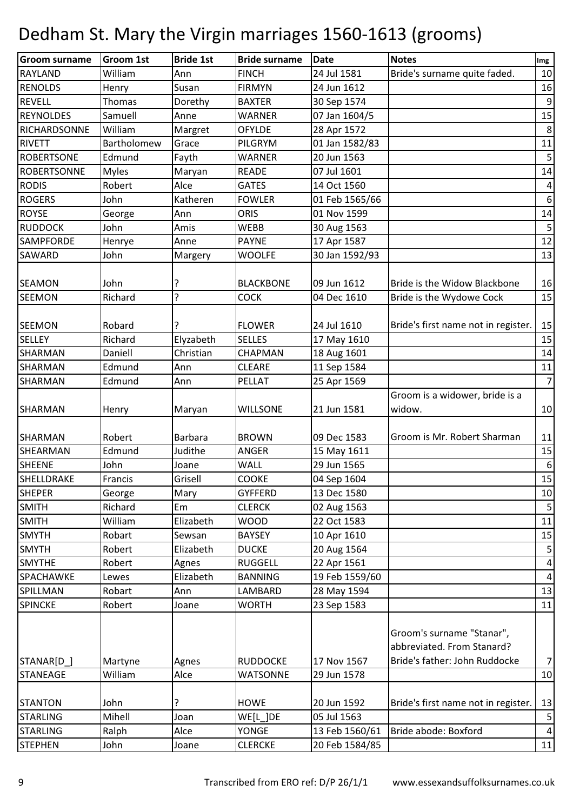| <b>Groom surname</b> | <b>Groom 1st</b> | <b>Bride 1st</b> | <b>Bride surname</b> | <b>Date</b>    | <b>Notes</b>                                            | Img                     |
|----------------------|------------------|------------------|----------------------|----------------|---------------------------------------------------------|-------------------------|
| <b>RAYLAND</b>       | William          | Ann              | <b>FINCH</b>         | 24 Jul 1581    | Bride's surname quite faded.                            | 10                      |
| <b>RENOLDS</b>       | Henry            | Susan            | <b>FIRMYN</b>        | 24 Jun 1612    |                                                         | 16                      |
| <b>REVELL</b>        | Thomas           | Dorethy          | <b>BAXTER</b>        | 30 Sep 1574    |                                                         | 9                       |
| <b>REYNOLDES</b>     | Samuell          | Anne             | <b>WARNER</b>        | 07 Jan 1604/5  |                                                         | 15                      |
| RICHARDSONNE         | William          | Margret          | <b>OFYLDE</b>        | 28 Apr 1572    |                                                         | 8                       |
| <b>RIVETT</b>        | Bartholomew      | Grace            | PILGRYM              | 01 Jan 1582/83 |                                                         | 11                      |
| <b>ROBERTSONE</b>    | Edmund           | Fayth            | <b>WARNER</b>        | 20 Jun 1563    |                                                         | $\mathsf S$             |
| <b>ROBERTSONNE</b>   | <b>Myles</b>     | Maryan           | <b>READE</b>         | 07 Jul 1601    |                                                         | 14                      |
| <b>RODIS</b>         | Robert           | Alce             | <b>GATES</b>         | 14 Oct 1560    |                                                         | 4                       |
| <b>ROGERS</b>        | John             | Katheren         | <b>FOWLER</b>        | 01 Feb 1565/66 |                                                         | $\boldsymbol{6}$        |
| <b>ROYSE</b>         | George           | Ann              | <b>ORIS</b>          | 01 Nov 1599    |                                                         | 14                      |
| <b>RUDDOCK</b>       | John             | Amis             | <b>WEBB</b>          | 30 Aug 1563    |                                                         | $\overline{5}$          |
| <b>SAMPFORDE</b>     | Henrye           | Anne             | <b>PAYNE</b>         | 17 Apr 1587    |                                                         | 12                      |
| <b>SAWARD</b>        | John             | Margery          | <b>WOOLFE</b>        | 30 Jan 1592/93 |                                                         | 13                      |
| <b>SEAMON</b>        | John             | ?                | <b>BLACKBONE</b>     | 09 Jun 1612    | Bride is the Widow Blackbone                            | 16                      |
| <b>SEEMON</b>        | Richard          | ?                | <b>COCK</b>          | 04 Dec 1610    | Bride is the Wydowe Cock                                | 15                      |
|                      |                  |                  |                      |                |                                                         |                         |
| <b>SEEMON</b>        | Robard           |                  | <b>FLOWER</b>        | 24 Jul 1610    | Bride's first name not in register.                     | 15                      |
| <b>SELLEY</b>        | Richard          | Elyzabeth        | <b>SELLES</b>        | 17 May 1610    |                                                         | 15                      |
| <b>SHARMAN</b>       | Daniell          | Christian        | <b>CHAPMAN</b>       | 18 Aug 1601    |                                                         | 14                      |
| <b>SHARMAN</b>       | Edmund           | Ann              | <b>CLEARE</b>        | 11 Sep 1584    |                                                         | 11                      |
| <b>SHARMAN</b>       | Edmund           | Ann              | PELLAT               | 25 Apr 1569    |                                                         | $\overline{7}$          |
|                      |                  |                  |                      |                | Groom is a widower, bride is a                          |                         |
| <b>SHARMAN</b>       | Henry            | Maryan           | <b>WILLSONE</b>      | 21 Jun 1581    | widow.                                                  | 10                      |
|                      |                  |                  |                      |                |                                                         |                         |
| <b>SHARMAN</b>       | Robert           | <b>Barbara</b>   | <b>BROWN</b>         | 09 Dec 1583    | Groom is Mr. Robert Sharman                             | 11                      |
| SHEARMAN             | Edmund           | Judithe          | <b>ANGER</b>         | 15 May 1611    |                                                         | 15                      |
| <b>SHEENE</b>        | John             | Joane            | <b>WALL</b>          | 29 Jun 1565    |                                                         | $\boldsymbol{6}$        |
| SHELLDRAKE           | Francis          | Grisell          | <b>COOKE</b>         | 04 Sep 1604    |                                                         | 15                      |
| <b>SHEPER</b>        | George           | Mary             | <b>GYFFERD</b>       | 13 Dec 1580    |                                                         | 10                      |
| <b>SMITH</b>         | Richard          | Em               | <b>CLERCK</b>        | 02 Aug 1563    |                                                         | 5                       |
| <b>SMITH</b>         | William          | Elizabeth        | <b>WOOD</b>          | 22 Oct 1583    |                                                         | 11                      |
| <b>SMYTH</b>         | Robart           | Sewsan           | <b>BAYSEY</b>        | 10 Apr 1610    |                                                         | 15                      |
| <b>SMYTH</b>         | Robert           | Elizabeth        | <b>DUCKE</b>         | 20 Aug 1564    |                                                         | $\overline{5}$          |
| <b>SMYTHE</b>        | Robert           | Agnes            | <b>RUGGELL</b>       | 22 Apr 1561    |                                                         | $\pmb{4}$               |
| <b>SPACHAWKE</b>     | Lewes            | Elizabeth        | <b>BANNING</b>       | 19 Feb 1559/60 |                                                         | $\overline{\mathbf{4}}$ |
| SPILLMAN             | Robart           | Ann              | LAMBARD              | 28 May 1594    |                                                         | 13                      |
| <b>SPINCKE</b>       | Robert           | Joane            | <b>WORTH</b>         | 23 Sep 1583    |                                                         | 11                      |
|                      |                  |                  |                      |                | Groom's surname "Stanar",<br>abbreviated. From Stanard? |                         |
| STANAR[D_]           | Martyne          | Agnes            | <b>RUDDOCKE</b>      | 17 Nov 1567    | Bride's father: John Ruddocke                           | $\overline{7}$          |
| <b>STANEAGE</b>      | William          | Alce             | <b>WATSONNE</b>      | 29 Jun 1578    |                                                         | 10                      |
| <b>STANTON</b>       | John             | ?                | <b>HOWE</b>          | 20 Jun 1592    | Bride's first name not in register.                     | 13                      |
| <b>STARLING</b>      | Mihell           | Joan             | WE[L]DE              | 05 Jul 1563    |                                                         | 5                       |
| <b>STARLING</b>      | Ralph            | Alce             | <b>YONGE</b>         | 13 Feb 1560/61 | Bride abode: Boxford                                    | $\overline{4}$          |
| <b>STEPHEN</b>       | John             |                  | <b>CLERCKE</b>       | 20 Feb 1584/85 |                                                         |                         |
|                      |                  | Joane            |                      |                |                                                         | 11                      |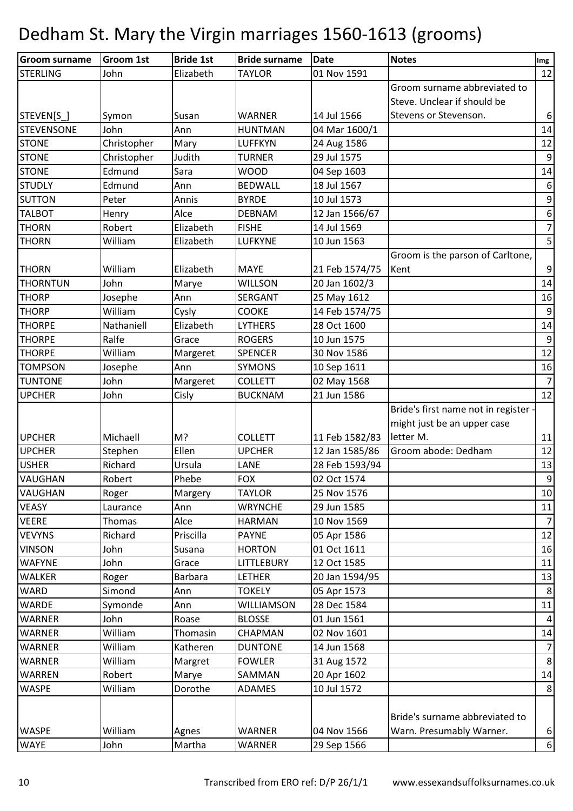| <b>Groom surname</b> | <b>Groom 1st</b> | <b>Bride 1st</b> | <b>Bride surname</b> | <b>Date</b>    | <b>Notes</b>                         | Img              |
|----------------------|------------------|------------------|----------------------|----------------|--------------------------------------|------------------|
| <b>STERLING</b>      | John             | Elizabeth        | <b>TAYLOR</b>        | 01 Nov 1591    |                                      | 12               |
|                      |                  |                  |                      |                | Groom surname abbreviated to         |                  |
|                      |                  |                  |                      |                | Steve. Unclear if should be          |                  |
| STEVEN[S_]           | Symon            | Susan            | <b>WARNER</b>        | 14 Jul 1566    | Stevens or Stevenson.                | $\boldsymbol{6}$ |
| <b>STEVENSONE</b>    | John             | Ann              | <b>HUNTMAN</b>       | 04 Mar 1600/1  |                                      | 14               |
| <b>STONE</b>         | Christopher      | Mary             | <b>LUFFKYN</b>       | 24 Aug 1586    |                                      | 12               |
| <b>STONE</b>         | Christopher      | Judith           | <b>TURNER</b>        | 29 Jul 1575    |                                      | $\boldsymbol{9}$ |
| <b>STONE</b>         | Edmund           | Sara             | <b>WOOD</b>          | 04 Sep 1603    |                                      | 14               |
| <b>STUDLY</b>        | Edmund           | Ann              | <b>BEDWALL</b>       | 18 Jul 1567    |                                      | 6                |
| <b>SUTTON</b>        | Peter            | Annis            | <b>BYRDE</b>         | 10 Jul 1573    |                                      | $\mathsf 9$      |
| <b>TALBOT</b>        | Henry            | Alce             | <b>DEBNAM</b>        | 12 Jan 1566/67 |                                      | $\boldsymbol{6}$ |
| <b>THORN</b>         | Robert           | Elizabeth        | <b>FISHE</b>         | 14 Jul 1569    |                                      | $\boldsymbol{7}$ |
| <b>THORN</b>         | William          | Elizabeth        | <b>LUFKYNE</b>       | 10 Jun 1563    |                                      | $5\overline{)}$  |
|                      |                  |                  |                      |                | Groom is the parson of Carltone,     |                  |
| <b>THORN</b>         | William          | Elizabeth        | <b>MAYE</b>          | 21 Feb 1574/75 | Kent                                 | $\boldsymbol{9}$ |
| <b>THORNTUN</b>      | John             | Marye            | <b>WILLSON</b>       | 20 Jan 1602/3  |                                      | 14               |
| <b>THORP</b>         | Josephe          | Ann              | SERGANT              | 25 May 1612    |                                      | 16               |
| <b>THORP</b>         | William          | Cysly            | <b>COOKE</b>         | 14 Feb 1574/75 |                                      | $\boldsymbol{9}$ |
| <b>THORPE</b>        | Nathaniell       | Elizabeth        | <b>LYTHERS</b>       | 28 Oct 1600    |                                      | 14               |
| <b>THORPE</b>        | Ralfe            | Grace            | <b>ROGERS</b>        | 10 Jun 1575    |                                      | $\boldsymbol{9}$ |
| <b>THORPE</b>        | William          | Margeret         | <b>SPENCER</b>       | 30 Nov 1586    |                                      | 12               |
| <b>TOMPSON</b>       | Josephe          | Ann              | <b>SYMONS</b>        | 10 Sep 1611    |                                      | 16               |
| <b>TUNTONE</b>       | John             | Margeret         | <b>COLLETT</b>       | 02 May 1568    |                                      | $\overline{7}$   |
| <b>UPCHER</b>        | John             | Cisly            | <b>BUCKNAM</b>       | 21 Jun 1586    |                                      | 12               |
|                      |                  |                  |                      |                | Bride's first name not in register - |                  |
|                      |                  |                  |                      |                | might just be an upper case          |                  |
| <b>UPCHER</b>        | Michaell         | M?               | <b>COLLETT</b>       | 11 Feb 1582/83 | letter M.                            | 11               |
| <b>UPCHER</b>        | Stephen          | Ellen            | <b>UPCHER</b>        | 12 Jan 1585/86 | Groom abode: Dedham                  | 12               |
| <b>USHER</b>         | Richard          | Ursula           | LANE                 | 28 Feb 1593/94 |                                      | 13               |
| <b>VAUGHAN</b>       | Robert           | Phebe            | <b>FOX</b>           | 02 Oct 1574    |                                      | $\boldsymbol{9}$ |
| <b>VAUGHAN</b>       | Roger            | Margery          | <b>TAYLOR</b>        | 25 Nov 1576    |                                      | 10               |
| <b>VEASY</b>         | Laurance         | Ann              | <b>WRYNCHE</b>       | 29 Jun 1585    |                                      | 11               |
| <b>VEERE</b>         | Thomas           | Alce             | <b>HARMAN</b>        | 10 Nov 1569    |                                      | $\overline{7}$   |
| <b>VEVYNS</b>        | Richard          | Priscilla        | <b>PAYNE</b>         | 05 Apr 1586    |                                      | 12               |
| <b>VINSON</b>        | John             | Susana           | <b>HORTON</b>        | 01 Oct 1611    |                                      | 16               |
| <b>WAFYNE</b>        | John             | Grace            | <b>LITTLEBURY</b>    | 12 Oct 1585    |                                      | 11               |
| <b>WALKER</b>        | Roger            | Barbara          | LETHER               | 20 Jan 1594/95 |                                      | 13               |
| <b>WARD</b>          | Simond           | Ann              | <b>TOKELY</b>        | 05 Apr 1573    |                                      | $8\phantom{1}$   |
| <b>WARDE</b>         | Symonde          | Ann              | <b>WILLIAMSON</b>    | 28 Dec 1584    |                                      | 11               |
| <b>WARNER</b>        | John             | Roase            | <b>BLOSSE</b>        | 01 Jun 1561    |                                      | $\overline{a}$   |
| <b>WARNER</b>        | William          | Thomasin         | CHAPMAN              | 02 Nov 1601    |                                      | 14               |
| <b>WARNER</b>        | William          | Katheren         | <b>DUNTONE</b>       | 14 Jun 1568    |                                      | $\overline{7}$   |
| <b>WARNER</b>        | William          | Margret          | <b>FOWLER</b>        | 31 Aug 1572    |                                      | $\bf 8$          |
| <b>WARREN</b>        | Robert           | Marye            | SAMMAN               | 20 Apr 1602    |                                      | 14               |
| <b>WASPE</b>         | William          | Dorothe          | ADAMES               | 10 Jul 1572    |                                      | 8                |
|                      |                  |                  |                      |                |                                      |                  |
|                      |                  |                  |                      |                | Bride's surname abbreviated to       |                  |
| <b>WASPE</b>         | William          | Agnes            | <b>WARNER</b>        | 04 Nov 1566    | Warn. Presumably Warner.             | $\sqrt{6}$       |
| <b>WAYE</b>          | John             | Martha           | <b>WARNER</b>        | 29 Sep 1566    |                                      | $\boldsymbol{6}$ |